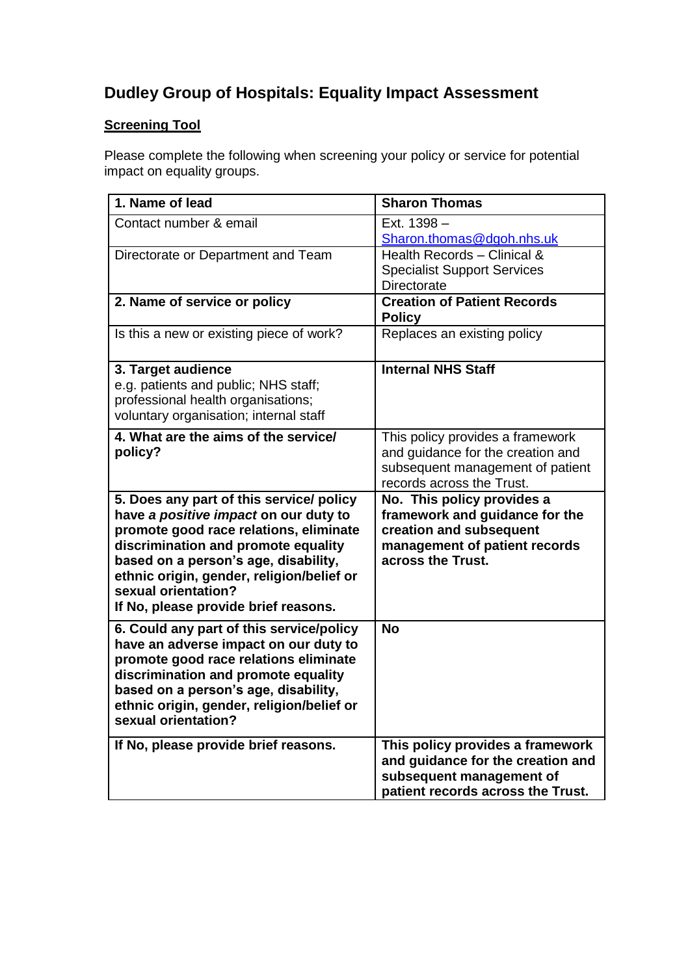## **Dudley Group of Hospitals: Equality Impact Assessment**

## **Screening Tool**

Please complete the following when screening your policy or service for potential impact on equality groups.

| 1. Name of lead                                                                                                                                                                                                                                                                                                        | <b>Sharon Thomas</b>                                                                                                                          |
|------------------------------------------------------------------------------------------------------------------------------------------------------------------------------------------------------------------------------------------------------------------------------------------------------------------------|-----------------------------------------------------------------------------------------------------------------------------------------------|
| Contact number & email                                                                                                                                                                                                                                                                                                 | Ext. 1398 -<br>Sharon.thomas@dgoh.nhs.uk                                                                                                      |
| Directorate or Department and Team                                                                                                                                                                                                                                                                                     | Health Records - Clinical &<br><b>Specialist Support Services</b><br>Directorate                                                              |
| 2. Name of service or policy                                                                                                                                                                                                                                                                                           | <b>Creation of Patient Records</b><br><b>Policy</b>                                                                                           |
| Is this a new or existing piece of work?                                                                                                                                                                                                                                                                               | Replaces an existing policy                                                                                                                   |
| 3. Target audience<br>e.g. patients and public; NHS staff;<br>professional health organisations;<br>voluntary organisation; internal staff                                                                                                                                                                             | <b>Internal NHS Staff</b>                                                                                                                     |
| 4. What are the aims of the service/<br>policy?                                                                                                                                                                                                                                                                        | This policy provides a framework<br>and guidance for the creation and<br>subsequent management of patient<br>records across the Trust.        |
| 5. Does any part of this service/ policy<br>have a positive impact on our duty to<br>promote good race relations, eliminate<br>discrimination and promote equality<br>based on a person's age, disability,<br>ethnic origin, gender, religion/belief or<br>sexual orientation?<br>If No, please provide brief reasons. | No. This policy provides a<br>framework and guidance for the<br>creation and subsequent<br>management of patient records<br>across the Trust. |
| 6. Could any part of this service/policy<br>have an adverse impact on our duty to<br>promote good race relations eliminate<br>discrimination and promote equality<br>based on a person's age, disability,<br>ethnic origin, gender, religion/belief or<br>sexual orientation?                                          | <b>No</b>                                                                                                                                     |
| If No, please provide brief reasons.                                                                                                                                                                                                                                                                                   | This policy provides a framework<br>and guidance for the creation and<br>subsequent management of<br>patient records across the Trust.        |